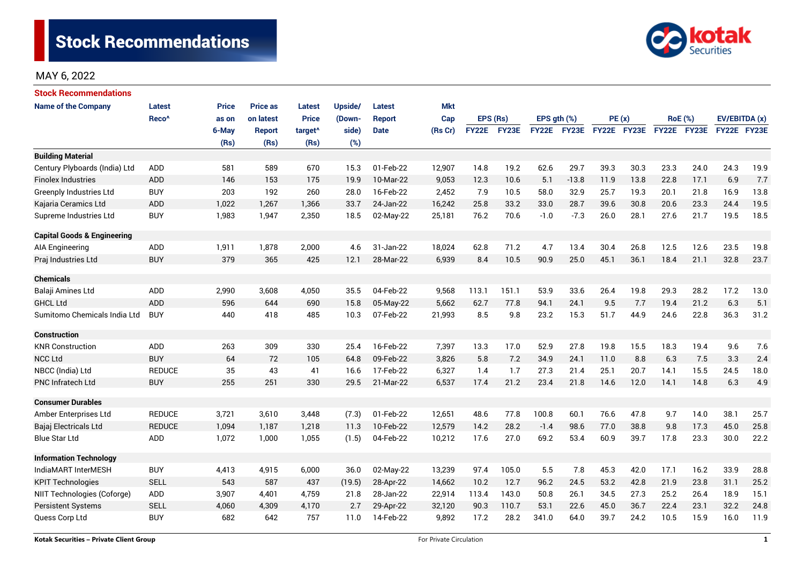

# MAY 6, 2022

| Stock Recommendations                  |                   |       |                 |                     |         |             |            |                                                                |       |              |         |             |      |                |      |               |      |
|----------------------------------------|-------------------|-------|-----------------|---------------------|---------|-------------|------------|----------------------------------------------------------------|-------|--------------|---------|-------------|------|----------------|------|---------------|------|
| <b>Name of the Company</b>             | Latest            | Price | <b>Price as</b> | Latest              | Upside/ | Latest      | <b>Mkt</b> |                                                                |       |              |         |             |      |                |      |               |      |
|                                        | Reco <sup>^</sup> | as on | on latest       | <b>Price</b>        | (Down-  | Report      | Cap        | EPS (Rs)                                                       |       | EPS gth (%)  |         | PE(x)       |      | <b>RoE</b> (%) |      | EV/EBITDA (x) |      |
|                                        |                   | 6-May | <b>Report</b>   | target <sup>^</sup> | side)   | <b>Date</b> | (Rs Cr)    | <b>FY22E</b>                                                   | FY23E | <b>FY22E</b> | FY23E   | FY22E FY23E |      | FY22E FY23E    |      | FY22E FY23E   |      |
|                                        |                   | (Rs)  | (Rs)            | (Rs)                | (%)     |             |            |                                                                |       |              |         |             |      |                |      |               |      |
| <b>Building Material</b>               |                   |       |                 |                     |         |             |            |                                                                |       |              |         |             |      |                |      |               |      |
| Century Plyboards (India) Ltd          | <b>ADD</b>        | 581   | 589             | 670                 | 15.3    | 01-Feb-22   | 12,907     | 14.8                                                           | 19.2  | 62.6         | 29.7    | 39.3        | 30.3 | 23.3           | 24.0 | 24.3          | 19.9 |
| <b>Finolex Industries</b>              | <b>ADD</b>        | 146   | 153             | 175                 | 19.9    | 10-Mar-22   | 9,053      | 12.3                                                           | 10.6  | 5.1          | $-13.8$ | 11.9        | 13.8 | 22.8           | 17.1 | 6.9           | 7.7  |
| <b>Greenply Industries Ltd</b>         | <b>BUY</b>        | 203   | 192             | 260                 | 28.0    | 16-Feb-22   | 2,452      | 7.9                                                            | 10.5  | 58.0         | 32.9    | 25.7        | 19.3 | 20.1           | 21.8 | 16.9          | 13.8 |
| Kajaria Ceramics Ltd                   | ADD               | 1,022 | 1,267           | 1,366               | 33.7    | 24-Jan-22   | 16,242     | 25.8                                                           | 33.2  | 33.0         | 28.7    | 39.6        | 30.8 | 20.6           | 23.3 | 24.4          | 19.5 |
| Supreme Industries Ltd                 | <b>BUY</b>        | 1,983 | 1,947           | 2,350               | 18.5    | 02-May-22   | 25,181     | 76.2                                                           | 70.6  | $-1.0$       | $-7.3$  | 26.0        | 28.1 | 27.6           | 21.7 | 19.5          | 18.5 |
| <b>Capital Goods &amp; Engineering</b> |                   |       |                 |                     |         |             |            |                                                                |       |              |         |             |      |                |      |               |      |
| AIA Engineering                        | ADD               | 1,911 | 1,878           | 2,000               | 4.6     | 31-Jan-22   | 18,024     | 62.8                                                           | 71.2  | 4.7          | 13.4    | 30.4        | 26.8 | 12.5           | 12.6 | 23.5          | 19.8 |
| Praj Industries Ltd                    | <b>BUY</b>        | 379   | 365             | 425                 | 12.1    | 28-Mar-22   | 6,939      | 8.4                                                            | 10.5  | 90.9         | 25.0    | 45.1        | 36.1 | 18.4           | 21.1 | 32.8          | 23.7 |
| <b>Chemicals</b>                       |                   |       |                 |                     |         |             |            |                                                                |       |              |         |             |      |                |      |               |      |
| Balaji Amines Ltd                      | ADD               | 2,990 | 3,608           | 4,050               | 35.5    | 04-Feb-22   | 9,568      | 113.1                                                          | 151.1 | 53.9         | 33.6    | 26.4        | 19.8 | 29.3           | 28.2 | 17.2          | 13.0 |
| <b>GHCL Ltd</b>                        | ADD               | 596   | 644             | 690                 | 15.8    | 05-May-22   | 5,662      | 62.7                                                           | 77.8  | 94.1         | 24.1    | 9.5         | 7.7  | 19.4           | 21.2 | 6.3           | 5.1  |
| Sumitomo Chemicals India Ltd           | <b>BUY</b>        | 440   | 418             | 485                 | 10.3    | 07-Feb-22   | 21,993     | 8.5                                                            | 9.8   | 23.2         | 15.3    | 51.7        | 44.9 | 24.6           | 22.8 | 36.3          | 31.2 |
| Construction                           |                   |       |                 |                     |         |             |            |                                                                |       |              |         |             |      |                |      |               |      |
| <b>KNR Construction</b>                | ADD               | 263   | 309             | 330                 | 25.4    | 16-Feb-22   | 7,397      | 13.3                                                           | 17.0  | 52.9         | 27.8    | 19.8        | 15.5 | 18.3           | 19.4 | 9.6           | 7.6  |
| <b>NCC Ltd</b>                         | <b>BUY</b>        | 64    | 72              | 105                 | 64.8    | 09-Feb-22   | 3,826      | 5.8                                                            | 7.2   | 34.9         | 24.1    | 11.0        | 8.8  | 6.3            | 7.5  | 3.3           | 2.4  |
| NBCC (India) Ltd                       | <b>REDUCE</b>     | 35    | 43              | 41                  | 16.6    | 17-Feb-22   | 6,327      | 1.4                                                            | 1.7   | 27.3         | 21.4    | 25.1        | 20.7 | 14.1           | 15.5 | 24.5          | 18.0 |
| <b>PNC Infratech Ltd</b>               | <b>BUY</b>        | 255   | 251             | 330                 | 29.5    | 21-Mar-22   | 6,537      | 17.4                                                           | 21.2  | 23.4         | 21.8    | 14.6        | 12.0 | 14.1           | 14.8 | 6.3           | 4.9  |
| <b>Consumer Durables</b>               |                   |       |                 |                     |         |             |            |                                                                |       |              |         |             |      |                |      |               |      |
| Amber Enterprises Ltd                  | <b>REDUCE</b>     | 3,721 | 3,610           | 3,448               | (7.3)   | 01-Feb-22   | 12,651     | 48.6                                                           | 77.8  | 100.8        | 60.1    | 76.6        | 47.8 | 9.7            | 14.0 | 38.1          | 25.7 |
| Bajaj Electricals Ltd                  | <b>REDUCE</b>     | 1,094 | 1,187           | 1,218               | 11.3    | 10-Feb-22   | 12,579     | 14.2                                                           | 28.2  | $-1.4$       | 98.6    | 77.0        | 38.8 | 9.8            | 17.3 | 45.0          | 25.8 |
| <b>Blue Star Ltd</b>                   | ADD               | 1,072 | 1,000           | 1,055               | (1.5)   | 04-Feb-22   | 10,212     | 17.6                                                           | 27.0  | 69.2         | 53.4    | 60.9        | 39.7 | 17.8           | 23.3 | 30.0          | 22.2 |
| <b>Information Technology</b>          |                   |       |                 |                     |         |             |            |                                                                |       |              |         |             |      |                |      |               |      |
| IndiaMART InterMESH                    | <b>BUY</b>        | 4,413 | 4,915           | 6,000               | 36.0    | 02-May-22   | 13,239     | 97.4                                                           | 105.0 | 5.5          | 7.8     | 45.3        | 42.0 | 17.1           | 16.2 | 33.9          | 28.8 |
| <b>KPIT Technologies</b>               | <b>SELL</b>       | 543   | 587             | 437                 | (19.5)  | 28-Apr-22   | 14,662     | 10.2                                                           | 12.7  | 96.2         | 24.5    | 53.2        | 42.8 | 21.9           | 23.8 | 31.1          | 25.2 |
| NIIT Technologies (Coforge)            | ADD               | 3,907 | 4,401           | 4,759               | 21.8    | 28-Jan-22   | 22,914     | 143.0<br>27.3<br>25.2<br>113.4<br>50.8<br>26.1<br>34.5<br>26.4 |       | 18.9         | 15.1    |             |      |                |      |               |      |
| <b>Persistent Systems</b>              | <b>SELL</b>       | 4,060 | 4,309           | 4,170               | 2.7     | 29-Apr-22   | 32,120     | 90.3                                                           | 110.7 | 53.1         | 22.6    | 45.0        | 36.7 | 22.4           | 23.1 | 32.2          | 24.8 |
| Quess Corp Ltd                         | <b>BUY</b>        | 682   | 642             | 757                 | 11.0    | 14-Feb-22   | 9,892      | 17.2                                                           | 28.2  | 341.0        | 64.0    | 39.7        | 24.2 | 10.5           | 15.9 | 16.0          | 11.9 |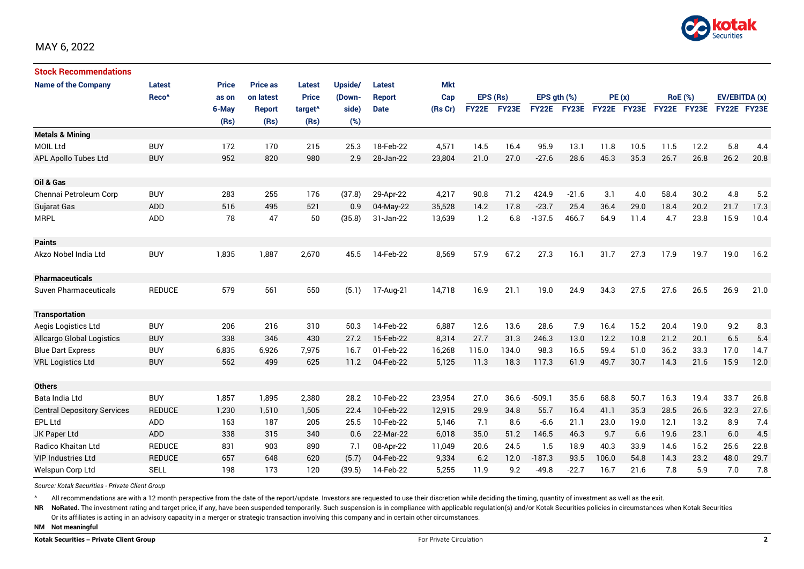

| <b>Stock Recommendations</b>       |                   |              |                 |                               |                   |                                |            |              |       |                  |         |             |      |                |      |               |      |
|------------------------------------|-------------------|--------------|-----------------|-------------------------------|-------------------|--------------------------------|------------|--------------|-------|------------------|---------|-------------|------|----------------|------|---------------|------|
| <b>Name of the Company</b>         | <b>Latest</b>     | <b>Price</b> | <b>Price as</b> | <b>Latest</b><br><b>Price</b> | Upside/<br>(Down- | <b>Latest</b><br><b>Report</b> | <b>Mkt</b> |              |       |                  |         |             |      |                |      |               |      |
|                                    | Reco <sup>^</sup> | as on        | on latest       |                               |                   |                                | Cap        | EPS (Rs)     |       | EPS $gth$ $(\%)$ |         | PE(x)       |      | <b>RoE</b> (%) |      | EV/EBITDA (x) |      |
|                                    |                   | 6-May        | <b>Report</b>   | target <sup>^</sup>           | side)             | <b>Date</b>                    | (Rs Cr)    | <b>FY22E</b> | FY23E | <b>FY22E</b>     | FY23E   | FY22E FY23E |      | FY22E FY23E    |      | FY22E FY23E   |      |
|                                    |                   | (Rs)         | (Rs)            | (Rs)                          | (%)               |                                |            |              |       |                  |         |             |      |                |      |               |      |
| <b>Metals &amp; Mining</b>         |                   |              |                 |                               |                   |                                |            |              |       |                  |         |             |      |                |      |               |      |
| MOIL Ltd                           | <b>BUY</b>        | 172          | 170             | 215                           | 25.3              | 18-Feb-22                      | 4,571      | 14.5         | 16.4  | 95.9             | 13.1    | 11.8        | 10.5 | 11.5           | 12.2 | 5.8           | 4.4  |
| <b>APL Apollo Tubes Ltd</b>        | <b>BUY</b>        | 952          | 820             | 980                           | 2.9               | 28-Jan-22                      | 23,804     | 21.0         | 27.0  | $-27.6$          | 28.6    | 45.3        | 35.3 | 26.7           | 26.8 | 26.2          | 20.8 |
| Oil & Gas                          |                   |              |                 |                               |                   |                                |            |              |       |                  |         |             |      |                |      |               |      |
| Chennai Petroleum Corp             | <b>BUY</b>        | 283          | 255             | 176                           | (37.8)            | 29-Apr-22                      | 4,217      | 90.8         | 71.2  | 424.9            | $-21.6$ | 3.1         | 4.0  | 58.4           | 30.2 | 4.8           | 5.2  |
| Gujarat Gas                        | ADD               | 516          | 495             | 521                           | 0.9               | 04-May-22                      | 35,528     | 14.2         | 17.8  | $-23.7$          | 25.4    | 36.4        | 29.0 | 18.4           | 20.2 | 21.7          | 17.3 |
| <b>MRPL</b>                        | ADD               | 78           | 47              | 50                            | (35.8)            | 31-Jan-22                      | 13,639     | 1.2          | 6.8   | $-137.5$         | 466.7   | 64.9        | 11.4 | 4.7            | 23.8 | 15.9          | 10.4 |
| <b>Paints</b>                      |                   |              |                 |                               |                   |                                |            |              |       |                  |         |             |      |                |      |               |      |
| Akzo Nobel India Ltd               | <b>BUY</b>        | 1,835        | 1,887           | 2,670                         | 45.5              | 14-Feb-22                      | 8,569      | 57.9         | 67.2  | 27.3             | 16.1    | 31.7        | 27.3 | 17.9           | 19.7 | 19.0          | 16.2 |
| <b>Pharmaceuticals</b>             |                   |              |                 |                               |                   |                                |            |              |       |                  |         |             |      |                |      |               |      |
| Suven Pharmaceuticals              | <b>REDUCE</b>     | 579          | 561             | 550                           | (5.1)             | 17-Aug-21                      | 14,718     | 16.9         | 21.1  | 19.0             | 24.9    | 34.3        | 27.5 | 27.6           | 26.5 | 26.9          | 21.0 |
| <b>Transportation</b>              |                   |              |                 |                               |                   |                                |            |              |       |                  |         |             |      |                |      |               |      |
| Aegis Logistics Ltd                | <b>BUY</b>        | 206          | 216             | 310                           | 50.3              | 14-Feb-22                      | 6,887      | 12.6         | 13.6  | 28.6             | 7.9     | 16.4        | 15.2 | 20.4           | 19.0 | 9.2           | 8.3  |
| <b>Allcargo Global Logistics</b>   | <b>BUY</b>        | 338          | 346             | 430                           | 27.2              | 15-Feb-22                      | 8,314      | 27.7         | 31.3  | 246.3            | 13.0    | 12.2        | 10.8 | 21.2           | 20.1 | 6.5           | 5.4  |
| <b>Blue Dart Express</b>           | <b>BUY</b>        | 6,835        | 6,926           | 7,975                         | 16.7              | 01-Feb-22                      | 16,268     | 115.0        | 134.0 | 98.3             | 16.5    | 59.4        | 51.0 | 36.2           | 33.3 | 17.0          | 14.7 |
| <b>VRL Logistics Ltd</b>           | <b>BUY</b>        | 562          | 499             | 625                           | 11.2              | 04-Feb-22                      | 5,125      | 11.3         | 18.3  | 117.3            | 61.9    | 49.7        | 30.7 | 14.3           | 21.6 | 15.9          | 12.0 |
| <b>Others</b>                      |                   |              |                 |                               |                   |                                |            |              |       |                  |         |             |      |                |      |               |      |
| Bata India Ltd                     | <b>BUY</b>        | 1,857        | 1,895           | 2,380                         | 28.2              | 10-Feb-22                      | 23,954     | 27.0         | 36.6  | $-509.1$         | 35.6    | 68.8        | 50.7 | 16.3           | 19.4 | 33.7          | 26.8 |
| <b>Central Depository Services</b> | <b>REDUCE</b>     | 1,230        | 1,510           | 1,505                         | 22.4              | 10-Feb-22                      | 12,915     | 29.9         | 34.8  | 55.7             | 16.4    | 41.1        | 35.3 | 28.5           | 26.6 | 32.3          | 27.6 |
| EPL Ltd                            | ADD               | 163          | 187             | 205                           | 25.5              | 10-Feb-22                      | 5,146      | 7.1          | 8.6   | $-6.6$           | 21.1    | 23.0        | 19.0 | 12.1           | 13.2 | 8.9           | 7.4  |
| JK Paper Ltd                       | ADD               | 338          | 315             | 340                           | 0.6               | 22-Mar-22                      | 6,018      | 35.0         | 51.2  | 146.5            | 46.3    | 9.7         | 6.6  | 19.6           | 23.1 | 6.0           | 4.5  |
| <b>Radico Khaitan Ltd</b>          | <b>REDUCE</b>     | 831          | 903             | 890                           | 7.1               | 08-Apr-22                      | 11,049     | 20.6         | 24.5  | 1.5              | 18.9    | 40.3        | 33.9 | 14.6           | 15.2 | 25.6          | 22.8 |
| <b>VIP Industries Ltd</b>          | <b>REDUCE</b>     | 657          | 648             | 620                           | (5.7)             | 04-Feb-22                      | 9,334      | 6.2          | 12.0  | $-187.3$         | 93.5    | 106.0       | 54.8 | 14.3           | 23.2 | 48.0          | 29.7 |
| Welspun Corp Ltd                   | <b>SELL</b>       | 198          | 173             | 120                           | (39.5)            | 14-Feb-22                      | 5,255      | 11.9         | 9.2   | $-49.8$          | $-22.7$ | 16.7        | 21.6 | 7.8            | 5.9  | 7.0           | 7.8  |

*Source: Kotak Securities - Private Client Group*

All recommendations are with a 12 month perspective from the date of the report/update. Investors are requested to use their discretion while deciding the timing, quantity of investment as well as the exit.

NR NoRated. The investment rating and target price, if any, have been suspended temporarily. Such suspension is in compliance with applicable regulation(s) and/or Kotak Securities policies in circumstances when Kotak Secur

Or its affiliates is acting in an advisory capacity in a merger or strategic transaction involving this company and in certain other circumstances.

**NM Not meaningful**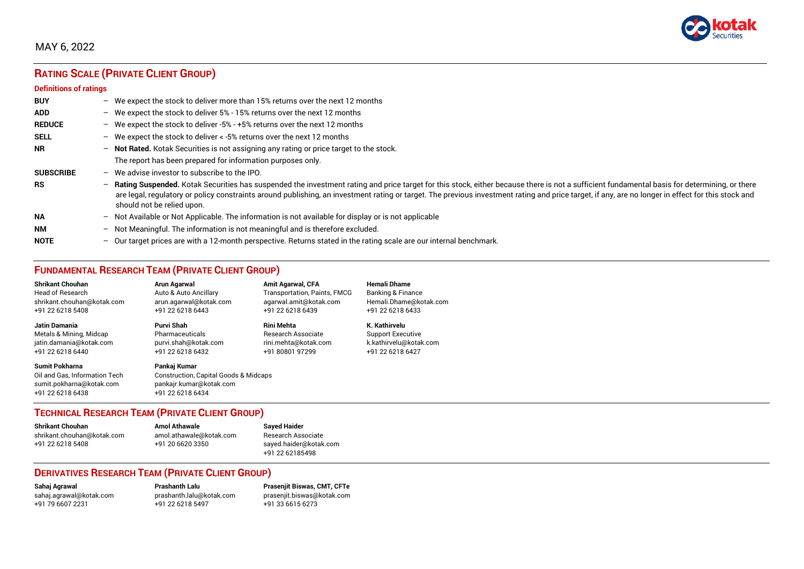

# MAY 6, 2022

# **RATING SCALE (PRIVATE CLIENT GROUP)**

#### **Definitions of ratings**

| <b>BUY</b>       | $-$ | We expect the stock to deliver more than 15% returns over the next 12 months                                                                                                                                                                                                                                                                                                                                                     |
|------------------|-----|----------------------------------------------------------------------------------------------------------------------------------------------------------------------------------------------------------------------------------------------------------------------------------------------------------------------------------------------------------------------------------------------------------------------------------|
| <b>ADD</b>       |     | - We expect the stock to deliver $5\%$ - 15% returns over the next 12 months                                                                                                                                                                                                                                                                                                                                                     |
| <b>REDUCE</b>    |     | - We expect the stock to deliver -5% - +5% returns over the next 12 months                                                                                                                                                                                                                                                                                                                                                       |
| <b>SELL</b>      |     | - We expect the stock to deliver $\lt$ -5% returns over the next 12 months                                                                                                                                                                                                                                                                                                                                                       |
| <b>NR</b>        |     | - Not Rated. Kotak Securities is not assigning any rating or price target to the stock.                                                                                                                                                                                                                                                                                                                                          |
|                  |     | The report has been prepared for information purposes only.                                                                                                                                                                                                                                                                                                                                                                      |
| <b>SUBSCRIBE</b> | $-$ | We advise investor to subscribe to the IPO.                                                                                                                                                                                                                                                                                                                                                                                      |
| <b>RS</b>        | $-$ | Rating Suspended. Kotak Securities has suspended the investment rating and price target for this stock, either because there is not a sufficient fundamental basis for determining, or there<br>are legal, regulatory or policy constraints around publishing, an investment rating or target. The previous investment rating and price target, if any, are no longer in effect for this stock and<br>should not be relied upon. |
| <b>NA</b>        |     | $-$ Not Available or Not Applicable. The information is not available for display or is not applicable                                                                                                                                                                                                                                                                                                                           |
| <b>NM</b>        |     | - Not Meaningful. The information is not meaningful and is therefore excluded.                                                                                                                                                                                                                                                                                                                                                   |
| <b>NOTE</b>      | $-$ | Our target prices are with a 12-month perspective. Returns stated in the rating scale are our internal benchmark.                                                                                                                                                                                                                                                                                                                |

# **FUNDAMENTAL RESEARCH TEAM (PRIVATE CLIENT GROUP)**

| <b>Shrikant Chouhan</b>                                                                                | <b>Arun Agarwal</b>                                                                                             | <b>Amit Agarwal, CFA</b>            | <b>Hemali Dhame</b>      |
|--------------------------------------------------------------------------------------------------------|-----------------------------------------------------------------------------------------------------------------|-------------------------------------|--------------------------|
| <b>Head of Research</b>                                                                                | Auto & Auto Ancillary                                                                                           | <b>Transportation, Paints, FMCG</b> | Banking & Finance        |
| shrikant.chouhan@kotak.com                                                                             | arun.agarwal@kotak.com                                                                                          | agarwal.amit@kotak.com              | Hemali.Dhame@kotak.com   |
| +91 22 6218 5408                                                                                       | +91 22 6218 6443                                                                                                | +91 22 6218 6439                    | +91 22 6218 6433         |
| <b>Jatin Damania</b>                                                                                   | Purvi Shah                                                                                                      | <b>Rini Mehta</b>                   | K. Kathirvelu            |
| Metals & Mining, Midcap                                                                                | Pharmaceuticals                                                                                                 | <b>Research Associate</b>           | <b>Support Executive</b> |
| jatin.damania@kotak.com                                                                                | purvi.shah@kotak.com                                                                                            | rini.mehta@kotak.com                | k.kathirvelu@kotak.com   |
| +91 22 6218 6440                                                                                       | +91 22 6218 6432                                                                                                | +91 80801 97299                     | +91 22 6218 6427         |
| <b>Sumit Pokharna</b><br>Oil and Gas, Information Tech<br>sumit.pokharna@kotak.com<br>+91 22 6218 6438 | Pankaj Kumar<br><b>Construction, Capital Goods &amp; Midcaps</b><br>pankajr.kumar@kotak.com<br>+91 22 6218 6434 |                                     |                          |

### **TECHNICAL RESEARCH TEAM (PRIVATE CLIENT GROUP)**

| <b>Shrikant Chouhan</b>    | <b>Amol Athawale</b>    |  |
|----------------------------|-------------------------|--|
| shrikant.chouhan@kotak.com | amol.athawale@kotak.com |  |
| +91 22 6218 5408           | +91 20 6620 3350        |  |
|                            |                         |  |

**Sayed Haider** Research Associate [sayed.haider@kotak.com](mailto:sayed.haider@kotak.com) +91 22 62185498

### **DERIVATIVES RESEARCH TEAM (PRIVATE CLIENT GROUP)**

+91 22 6218 5497 +91 33 6615 6273

**Sahaj Agrawal Prashanth Lalu Prasenjit Biswas, CMT, CFTe** [sahaj.agrawal@kotak.com](mailto:sahaj.agrawal@kotak.com) [prashanth.lalu@kotak.com](mailto:prashanth.lalu@kotak.com) [prasenjit.biswas@kotak.com](mailto:prasenjit.biswas@kotak.com)